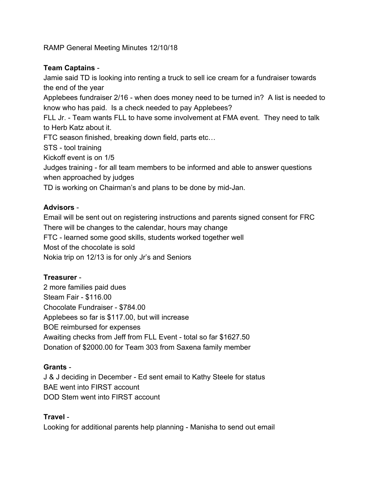RAMP General Meeting Minutes 12/10/18

#### **Team Captains** -

Jamie said TD is looking into renting a truck to sell ice cream for a fundraiser towards the end of the year

Applebees fundraiser 2/16 - when does money need to be turned in? A list is needed to know who has paid. Is a check needed to pay Applebees?

FLL Jr. - Team wants FLL to have some involvement at FMA event. They need to talk to Herb Katz about it.

FTC season finished, breaking down field, parts etc…

STS - tool training

Kickoff event is on 1/5

Judges training - for all team members to be informed and able to answer questions when approached by judges

TD is working on Chairman's and plans to be done by mid-Jan.

#### **Advisors** -

Email will be sent out on registering instructions and parents signed consent for FRC There will be changes to the calendar, hours may change FTC - learned some good skills, students worked together well Most of the chocolate is sold

Nokia trip on 12/13 is for only Jr's and Seniors

## **Treasurer** -

2 more families paid dues Steam Fair - \$116.00 Chocolate Fundraiser - \$784.00 Applebees so far is \$117.00, but will increase BOE reimbursed for expenses Awaiting checks from Jeff from FLL Event - total so far \$1627.50 Donation of \$2000.00 for Team 303 from Saxena family member

## **Grants** -

J & J deciding in December - Ed sent email to Kathy Steele for status BAE went into FIRST account DOD Stem went into FIRST account

## **Travel** -

Looking for additional parents help planning - Manisha to send out email